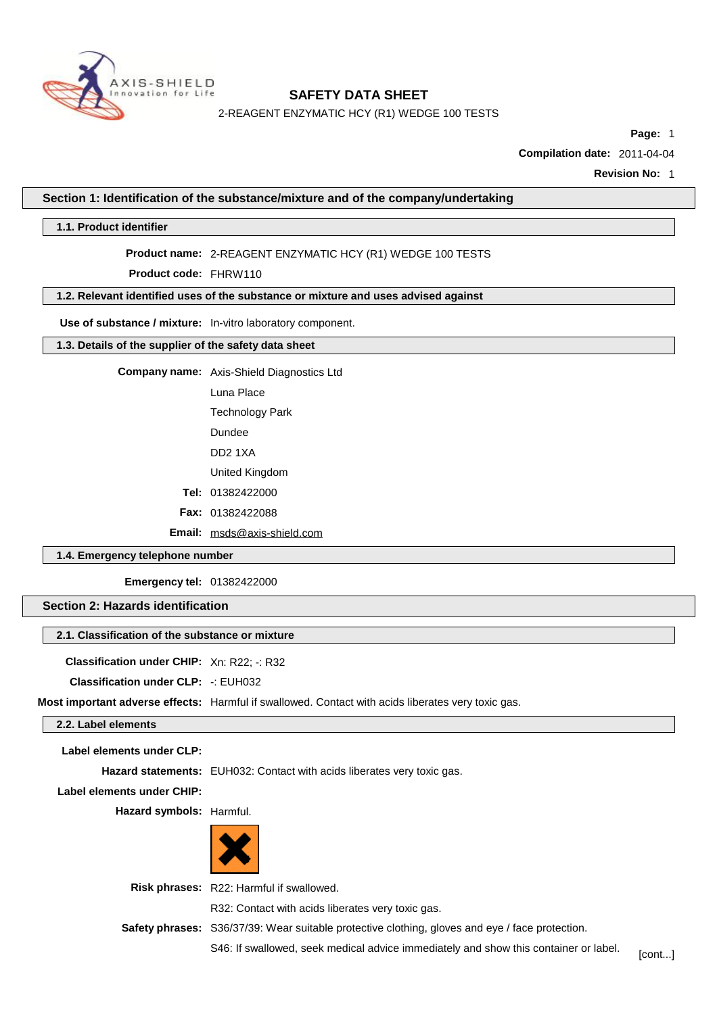

2-REAGENT ENZYMATIC HCY (R1) WEDGE 100 TESTS

**Page:** 1

**Compilation date:** 2011-04-04

**Revision No:** 1

**Section 1: Identification of the substance/mixture and of the company/undertaking**

**1.1. Product identifier**

### **Product name:** 2-REAGENT ENZYMATIC HCY (R1) WEDGE 100 TESTS

**Product code:** FHRW110

# **1.2. Relevant identified uses of the substance or mixture and uses advised against**

**Use of substance / mixture:** In-vitro laboratory component.

# **1.3. Details of the supplier of the safety data sheet**

**Company name:** Axis-Shield Diagnostics Ltd

Luna Place

Technology Park

Dundee

DD2 1XA

United Kingdom

**Tel:** 01382422000

**Fax:** 01382422088

**Email:** [msds@axis-shield.com](mailto:msds@axis-shield.com)

# **1.4. Emergency telephone number**

**Emergency tel:** 01382422000

### **Section 2: Hazards identification**

#### **2.1. Classification of the substance or mixture**

**Classification under CHIP:** Xn: R22; -: R32

**Classification under CLP:** -: EUH032

**Most important adverse effects:** Harmful if swallowed. Contact with acids liberates very toxic gas.

### **2.2. Label elements**

**Label elements under CLP:**

**Hazard statements:** EUH032: Contact with acids liberates very toxic gas.

**Label elements under CHIP:**

**Hazard symbols:** Harmful.



**Risk phrases:** R22: Harmful if swallowed.

R32: Contact with acids liberates very toxic gas.

**Safety phrases:** S36/37/39: Wear suitable protective clothing, gloves and eye / face protection.

S46: If swallowed, seek medical advice immediately and show this container or label. [cont...]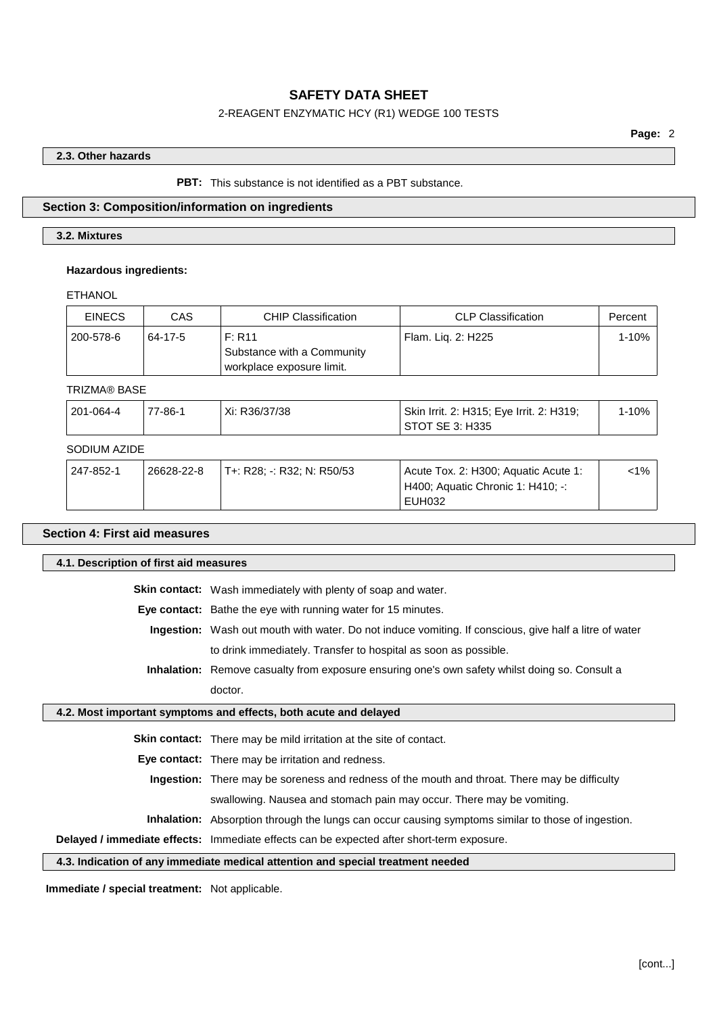### 2-REAGENT ENZYMATIC HCY (R1) WEDGE 100 TESTS

### **2.3. Other hazards**

### **PBT:** This substance is not identified as a PBT substance.

### **Section 3: Composition/information on ingredients**

# **3.2. Mixtures**

### **Hazardous ingredients:**

ETHANOL

| <b>EINECS</b> | CAS     | <b>CHIP Classification</b>                                        | CLP Classification | Percent |
|---------------|---------|-------------------------------------------------------------------|--------------------|---------|
| 200-578-6     | 64-17-5 | F: R11<br>Substance with a Community<br>workplace exposure limit. | Flam. Lig. 2: H225 | 1-10%   |

### TRIZMA® BASE

| 201-064-4       | 77-86-1 | Xi: R36/37/38 | Skin Irrit. 2: H315; Eye Irrit. 2: H319;<br>STOT SE 3: H335 | $1 - 10%$ |
|-----------------|---------|---------------|-------------------------------------------------------------|-----------|
| _ _ _ _ _ _ _ _ |         |               |                                                             |           |

# SODIUM AZIDE

| EUH032 |  | ່ 247-852-1 | 26628-22-8 | T+: R28: -: R32: N: R50/53 | Acute Tox. 2: H300; Aquatic Acute 1:<br>H400; Aquatic Chronic 1: H410; -: | $<$ 1% |
|--------|--|-------------|------------|----------------------------|---------------------------------------------------------------------------|--------|
|--------|--|-------------|------------|----------------------------|---------------------------------------------------------------------------|--------|

# **Section 4: First aid measures**

**4.1. Description of first aid measures**

**Skin contact:** Wash immediately with plenty of soap and water.

**Eye contact:** Bathe the eye with running water for 15 minutes.

**Ingestion:** Wash out mouth with water. Do not induce vomiting. If conscious, give half a litre of water to drink immediately. Transfer to hospital as soon as possible.

**Inhalation:** Remove casualty from exposure ensuring one's own safety whilst doing so. Consult a doctor.

#### **4.2. Most important symptoms and effects, both acute and delayed**

**Skin contact:** There may be mild irritation at the site of contact.

**Eye contact:** There may be irritation and redness.

**Ingestion:** There may be soreness and redness of the mouth and throat. There may be difficulty

swallowing. Nausea and stomach pain may occur. There may be vomiting.

**Inhalation:** Absorption through the lungs can occur causing symptoms similar to those of ingestion.

**Delayed / immediate effects:** Immediate effects can be expected after short-term exposure.

### **4.3. Indication of any immediate medical attention and special treatment needed**

**Immediate / special treatment:** Not applicable.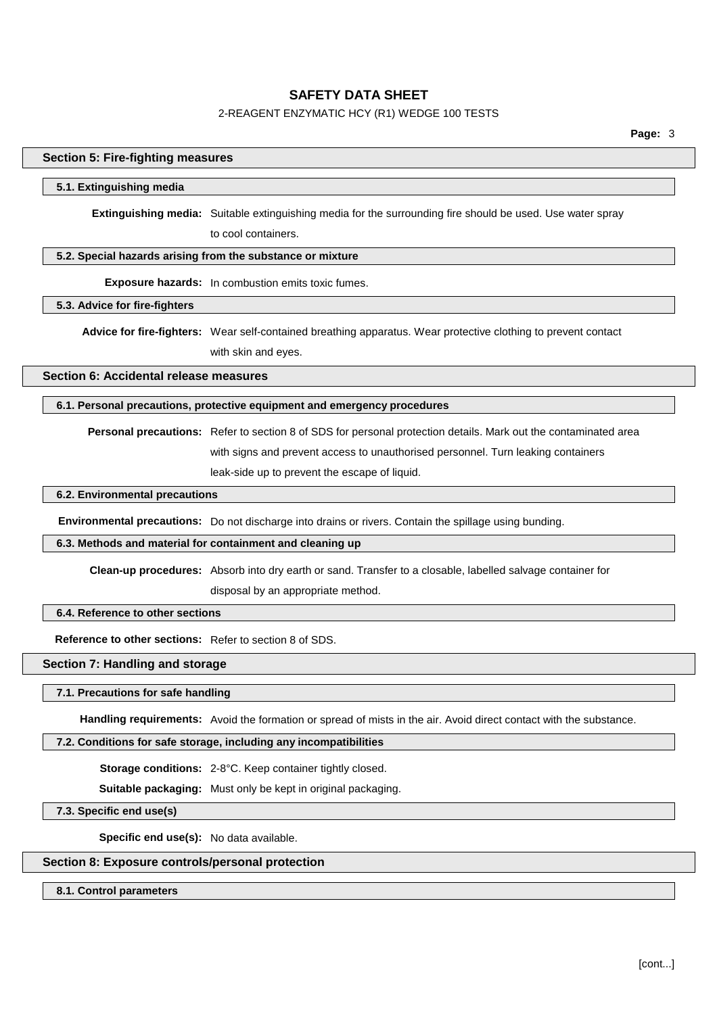# 2-REAGENT ENZYMATIC HCY (R1) WEDGE 100 TESTS

# **Section 5: Fire-fighting measures**

#### **5.1. Extinguishing media**

**Extinguishing media:** Suitable extinguishing media for the surrounding fire should be used. Use water spray to cool containers.

### **5.2. Special hazards arising from the substance or mixture**

**Exposure hazards:** In combustion emits toxic fumes.

# **5.3. Advice for fire-fighters**

**Advice for fire-fighters:** Wear self-contained breathing apparatus. Wear protective clothing to prevent contact with skin and eyes.

**Section 6: Accidental release measures**

### **6.1. Personal precautions, protective equipment and emergency procedures**

**Personal precautions:** Refer to section 8 of SDS for personal protection details. Mark out the contaminated area with signs and prevent access to unauthorised personnel. Turn leaking containers leak-side up to prevent the escape of liquid.

# **6.2. Environmental precautions**

**Environmental precautions:** Do not discharge into drains or rivers. Contain the spillage using bunding.

#### **6.3. Methods and material for containment and cleaning up**

**Clean-up procedures:** Absorb into dry earth or sand. Transfer to a closable, labelled salvage container for disposal by an appropriate method.

### **6.4. Reference to other sections**

**Reference to other sections:** Refer to section 8 of SDS.

# **Section 7: Handling and storage**

#### **7.1. Precautions for safe handling**

**Handling requirements:** Avoid the formation or spread of mists in the air. Avoid direct contact with the substance.

#### **7.2. Conditions for safe storage, including any incompatibilities**

**Storage conditions:** 2-8°C. Keep container tightly closed.

**Suitable packaging:** Must only be kept in original packaging.

**7.3. Specific end use(s)**

**Specific end use(s):** No data available.

### **Section 8: Exposure controls/personal protection**

### **8.1. Control parameters**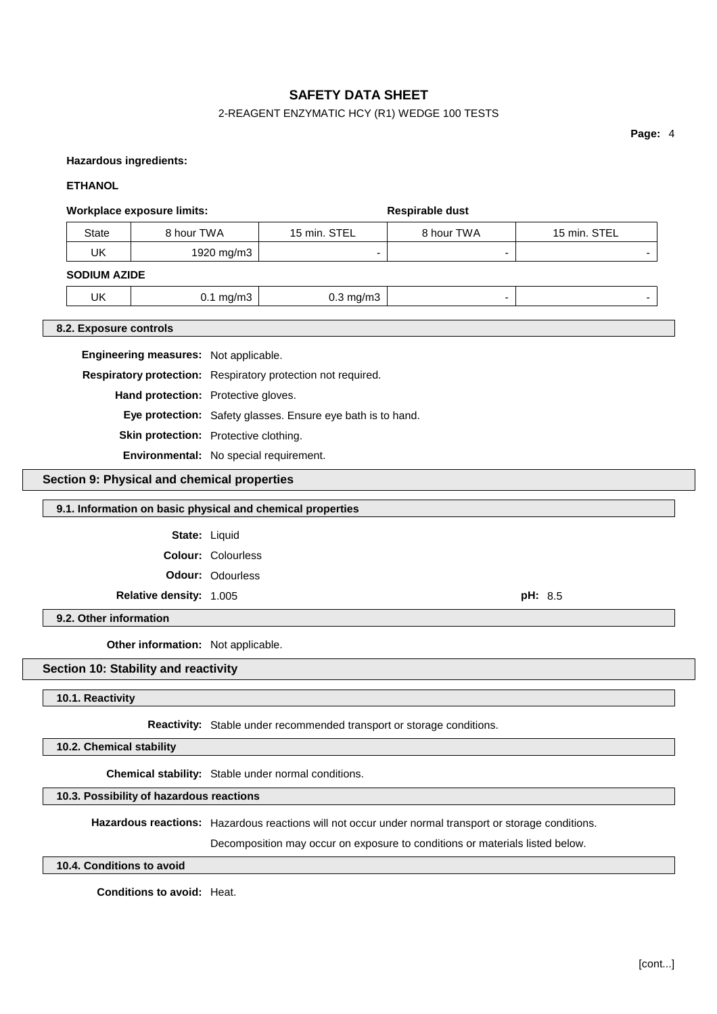# 2-REAGENT ENZYMATIC HCY (R1) WEDGE 100 TESTS

**Page:** 4

#### **Hazardous ingredients:**

### **ETHANOL**

# **Workplace exposure limits: Respirable** dust

| State        | 8 hour TWA | 15 min. STEL | 8 hour TWA | 15 min. STEL |
|--------------|------------|--------------|------------|--------------|
| UK           | 1920 mg/m3 |              | -          |              |
| CODUIM ATINE |            |              |            |              |

#### **SODIUM AZIDE**

|    | $\sim$<br>$\sim$ | ש.ט<br>$\sim$ |  |
|----|------------------|---------------|--|
| UK | ma/m3            | na/m3         |  |

### **8.2. Exposure controls**

**Engineering measures:** Not applicable.

**Respiratory protection:** Respiratory protection not required.

**Hand protection:** Protective gloves.

**Eye protection:** Safety glasses. Ensure eye bath is to hand.

**Skin protection:** Protective clothing.

**Environmental:** No special requirement.

### **Section 9: Physical and chemical properties**

### **9.1. Information on basic physical and chemical properties**

State: Liquid

**Colour:** Colourless

**Odour:** Odourless

**Relative density:** 1.005 **pH:** 8.5

**9.2. Other information**

**Other information:** Not applicable.

### **Section 10: Stability and reactivity**

### **10.1. Reactivity**

**Reactivity:** Stable under recommended transport or storage conditions.

**10.2. Chemical stability**

**Chemical stability:** Stable under normal conditions.

**10.3. Possibility of hazardous reactions**

**Hazardous reactions:** Hazardous reactions will not occur under normal transport or storage conditions.

Decomposition may occur on exposure to conditions or materials listed below.

### **10.4. Conditions to avoid**

**Conditions to avoid:** Heat.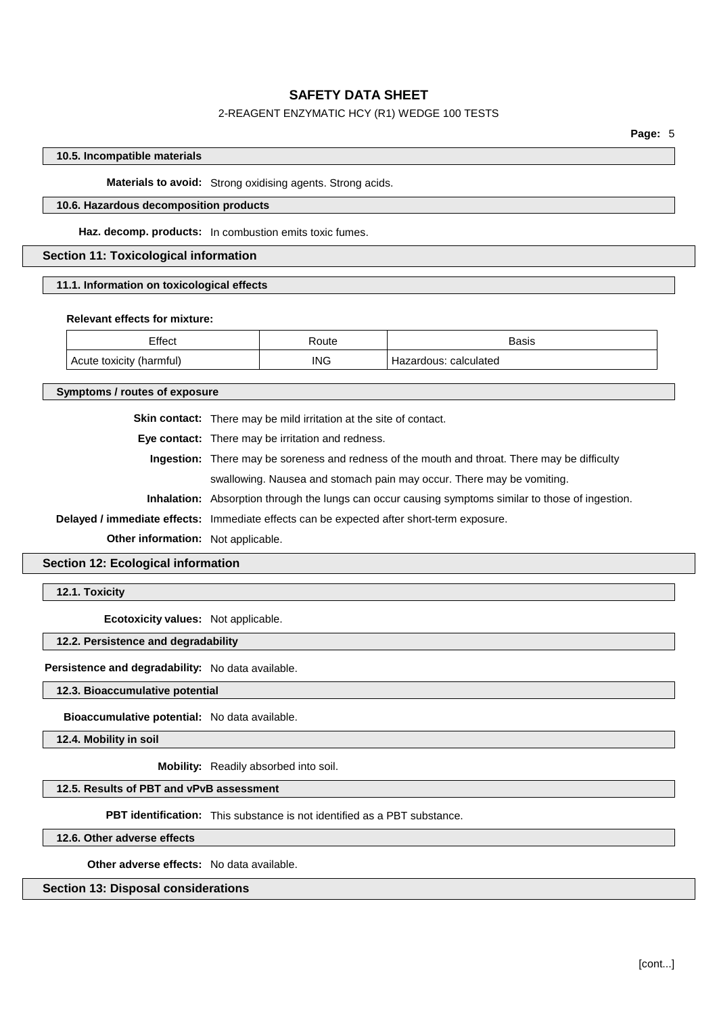# 2-REAGENT ENZYMATIC HCY (R1) WEDGE 100 TESTS

**Page:** 5

### **10.5. Incompatible materials**

**Materials to avoid:** Strong oxidising agents. Strong acids.

### **10.6. Hazardous decomposition products**

**Haz. decomp. products:** In combustion emits toxic fumes.

### **Section 11: Toxicological information**

### **11.1. Information on toxicological effects**

#### **Relevant effects for mixture:**

| Effect         | Route | Basis<br>.           |
|----------------|-------|----------------------|
| Acute toxicity | ING   | calculated           |
| (harmful       | __    | ∠ardous <sup>.</sup> |

**Symptoms / routes of exposure**

**Skin contact:** There may be mild irritation at the site of contact.

**Eye contact:** There may be irritation and redness.

**Ingestion:** There may be soreness and redness of the mouth and throat. There may be difficulty

swallowing. Nausea and stomach pain may occur. There may be vomiting.

**Inhalation:** Absorption through the lungs can occur causing symptoms similar to those of ingestion.

**Delayed / immediate effects:** Immediate effects can be expected after short-term exposure.

**Other information:** Not applicable.

**Section 12: Ecological information**

**12.1. Toxicity**

**Ecotoxicity values:** Not applicable.

### **12.2. Persistence and degradability**

**Persistence and degradability:** No data available.

### **12.3. Bioaccumulative potential**

**Bioaccumulative potential:** No data available.

**12.4. Mobility in soil**

**Mobility:** Readily absorbed into soil.

# **12.5. Results of PBT and vPvB assessment**

**PBT identification:** This substance is not identified as a PBT substance.

**12.6. Other adverse effects**

**Other adverse effects:** No data available.

**Section 13: Disposal considerations**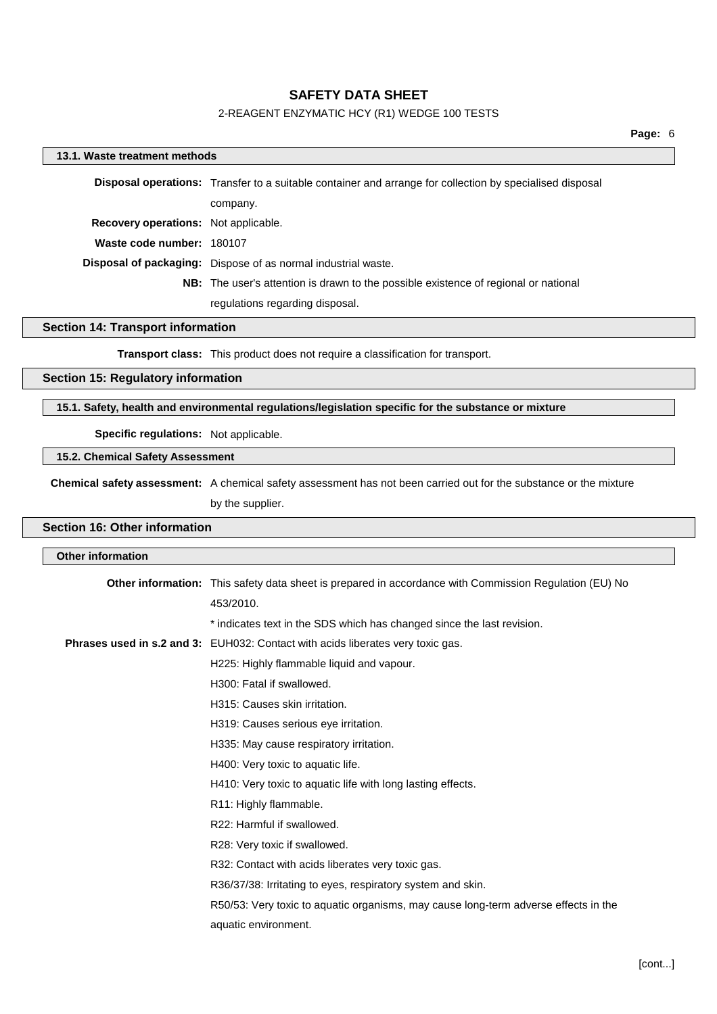# 2-REAGENT ENZYMATIC HCY (R1) WEDGE 100 TESTS

# **13.1. Waste treatment methods Disposal operations:** Transfer to a suitable container and arrange for collection by specialised disposal company. **Recovery operations:** Not applicable. **Waste code number:** 180107 **Disposal of packaging:** Dispose of as normal industrial waste. **NB:** The user's attention is drawn to the possible existence of regional or national regulations regarding disposal.

### **Section 14: Transport information**

**Transport class:** This product does not require a classification for transport.

### **Section 15: Regulatory information**

### **15.1. Safety, health and environmental regulations/legislation specific for the substance or mixture**

### **Specific regulations:** Not applicable.

### **15.2. Chemical Safety Assessment**

**Chemical safety assessment:** A chemical safety assessment has not been carried out for the substance or the mixture by the supplier.

# **Section 16: Other information**

| <b>Other information</b> |                                                                                                        |
|--------------------------|--------------------------------------------------------------------------------------------------------|
|                          | Other information: This safety data sheet is prepared in accordance with Commission Regulation (EU) No |
|                          | 453/2010.                                                                                              |
|                          | * indicates text in the SDS which has changed since the last revision.                                 |
|                          | Phrases used in s.2 and 3: EUH032: Contact with acids liberates very toxic gas.                        |
|                          | H225: Highly flammable liquid and vapour.                                                              |
|                          | H <sub>300</sub> : Fatal if swallowed.                                                                 |
|                          | H315: Causes skin irritation.                                                                          |
|                          | H319: Causes serious eye irritation.                                                                   |
|                          | H335: May cause respiratory irritation.                                                                |
|                          | H400: Very toxic to aquatic life.                                                                      |
|                          | H410: Very toxic to aquatic life with long lasting effects.                                            |
|                          | R11: Highly flammable.                                                                                 |
|                          | R22: Harmful if swallowed.                                                                             |
|                          | R28: Very toxic if swallowed.                                                                          |
|                          | R32: Contact with acids liberates very toxic gas.                                                      |
|                          | R36/37/38: Irritating to eyes, respiratory system and skin.                                            |
|                          | R50/53: Very toxic to aquatic organisms, may cause long-term adverse effects in the                    |
|                          | aquatic environment.                                                                                   |
|                          |                                                                                                        |